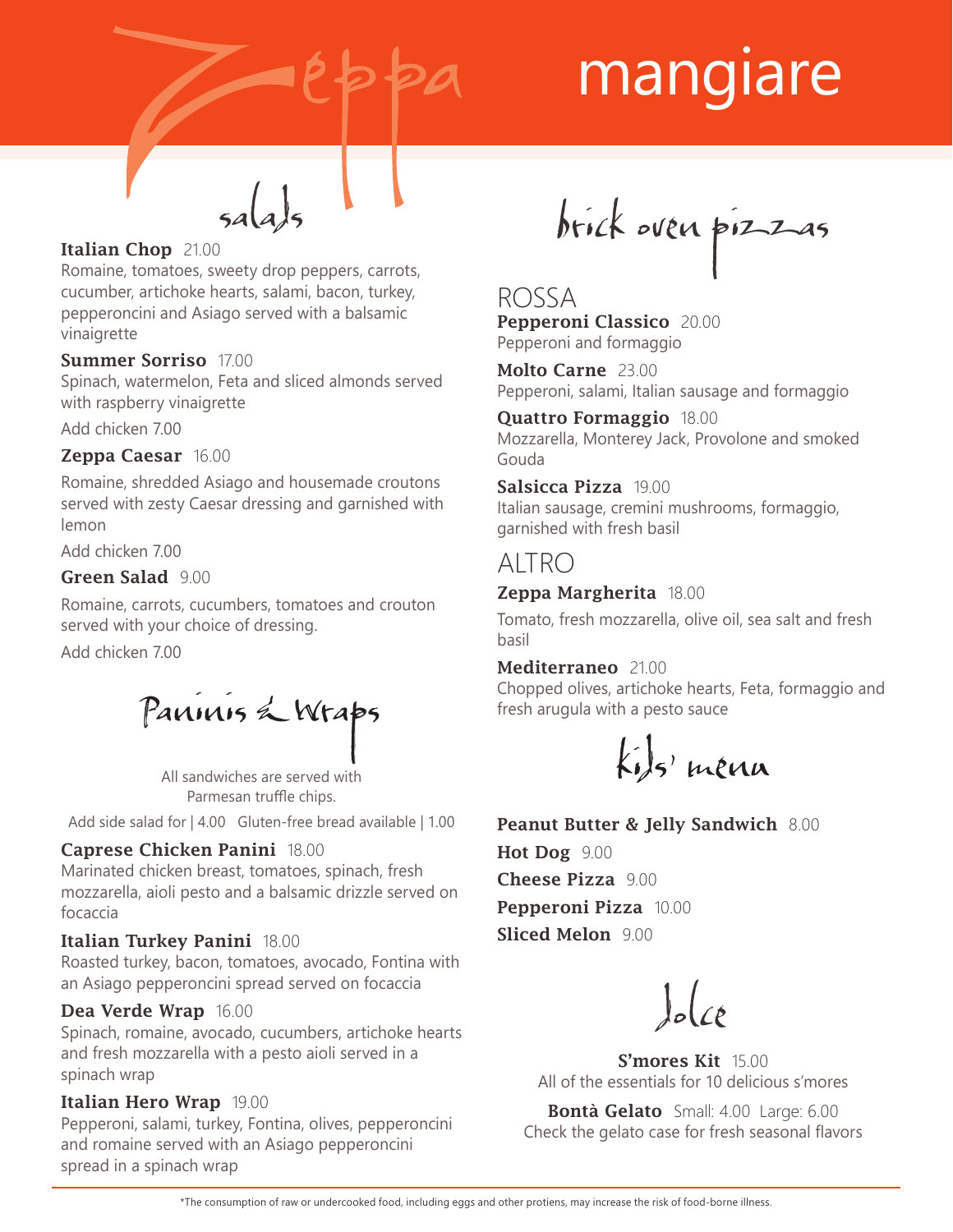

# mangiare

#### Italian Chop 21.00

Romaine, tomatoes, sweety drop peppers, carrots, cucumber, artichoke hearts, salami, bacon, turkey, pepperoncini and Asiago served with a balsamic vinaigrette

#### Summer Sorriso 17.00

Spinach, watermelon, Feta and sliced almonds served with raspberry vinaigrette

Add chicken 7.00

#### Zeppa Caesar 16.00

Romaine, shredded Asiago and housemade croutons served with zesty Caesar dressing and garnished with lemon

Add chicken 7.00

#### Green Salad 900

Romaine, carrots, cucumbers, tomatoes and crouton served with your choice of dressing.

Add chicken 7.00

Paninis & Wraps

All sandwiches are served with Parmesan truffle chips.

Add side salad for | 4.00 Gluten-free bread available | 1.00

#### Caprese Chicken Panini 18.00

Marinated chicken breast, tomatoes, spinach, fresh mozzarella, aioli pesto and a balsamic drizzle served on focaccia

#### Italian Turkey Panini 18.00

Roasted turkey, bacon, tomatoes, avocado, Fontina with an Asiago pepperoncini spread served on focaccia

#### Dea Verde Wrap 16.00

Spinach, romaine, avocado, cucumbers, artichoke hearts and fresh mozzarella with a pesto aioli served in a spinach wrap

#### Italian Hero Wrap 19.00

Pepperoni, salami, turkey, Fontina, olives, pepperoncini and romaine served with an Asiago pepperoncini spread in a spinach wrap

brick oven pizzas

#### ROSSA Pepperoni Classico 20.00 Pepperoni and formaggio

Molto Carne 23.00 Pepperoni, salami, Italian sausage and formaggio

Quattro Formaggio 18.00 Mozzarella, Monterey Jack, Provolone and smoked Gouda

Salsicca Pizza 19.00 Italian sausage, cremini mushrooms, formaggio, garnished with fresh basil

### ALTRO

#### Zeppa Margherita 18.00

Tomato, fresh mozzarella, olive oil, sea salt and fresh basil

#### Mediterraneo 21.00

Chopped olives, artichoke hearts, Feta, formaggio and fresh arugula with a pesto sauce

 $k_{i}$ s' menu

#### Peanut Butter & Jelly Sandwich 8.00

Hot Dog 9.00 Cheese Pizza 9.00 Pepperoni Pizza 10.00 Sliced Melon 9.00

 $\int_{\mathcal{C}}\left( \frac{\partial}{\partial \xi}\right) d\xi$ 

S'mores Kit 15.00 All of the essentials for 10 delicious s'mores

Bontà Gelato Small: 4.00 Large: 6.00 Check the gelato case for fresh seasonal flavors